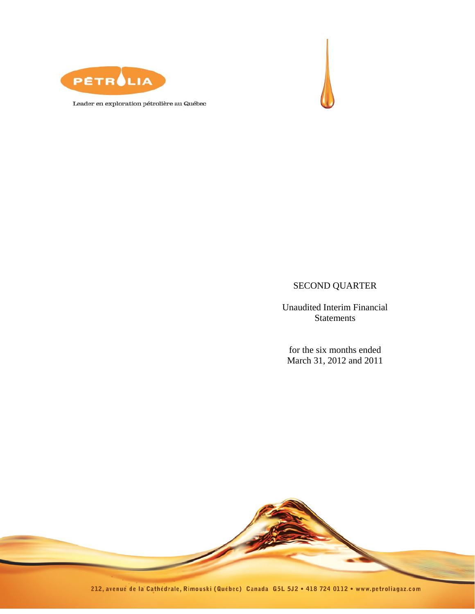



Leader en exploration pétrolière au Québec

# SECOND QUARTER

Unaudited Interim Financial Statements

for the six months ended March 31, 2012 and 2011

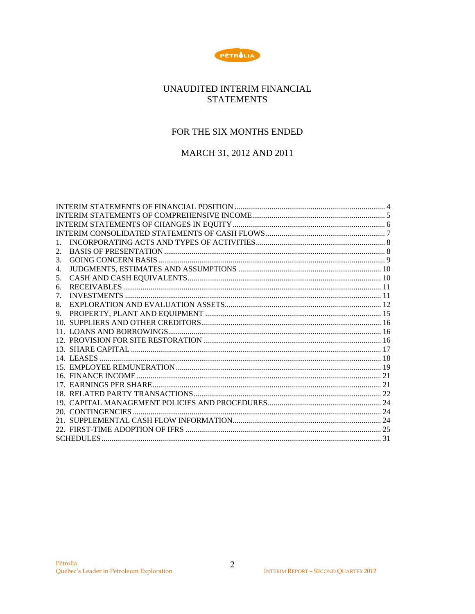

# UNAUDITED INTERIM FINANCIAL **STATEMENTS**

# FOR THE SIX MONTHS ENDED

# MARCH 31, 2012 AND 2011

| 1. |  |
|----|--|
| 2. |  |
| 3. |  |
| 4. |  |
| 5. |  |
| 6. |  |
| 7. |  |
| 8. |  |
| 9. |  |
|    |  |
|    |  |
|    |  |
|    |  |
|    |  |
|    |  |
|    |  |
|    |  |
|    |  |
|    |  |
|    |  |
|    |  |
|    |  |
|    |  |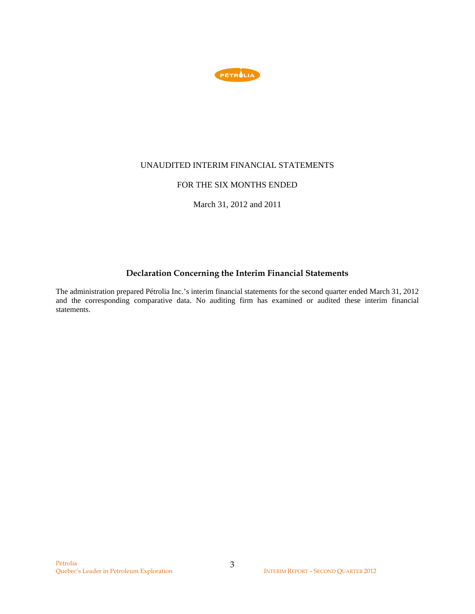

### UNAUDITED INTERIM FINANCIAL STATEMENTS

### FOR THE SIX MONTHS ENDED

March 31, 2012 and 2011

# **Declaration Concerning the Interim Financial Statements**

The administration prepared Pétrolia Inc.'s interim financial statements for the second quarter ended March 31, 2012 and the corresponding comparative data. No auditing firm has examined or audited these interim financial statements.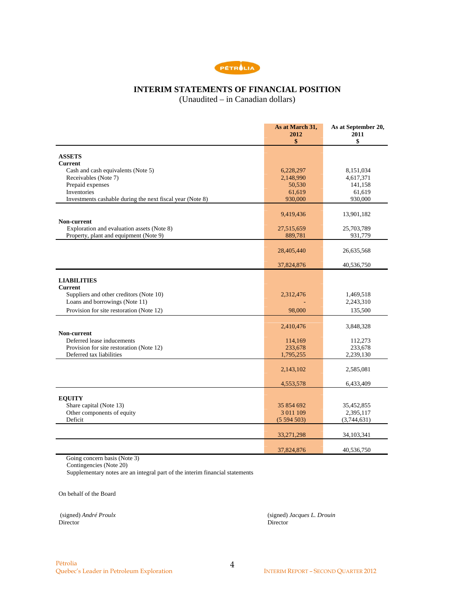

# **INTERIM STATEMENTS OF FINANCIAL POSITION**

(Unaudited – in Canadian dollars)

|                                                                        | As at March 31,<br>2012<br>\$ | As at September 20,<br>2011<br>\$ |
|------------------------------------------------------------------------|-------------------------------|-----------------------------------|
| <b>ASSETS</b>                                                          |                               |                                   |
| <b>Current</b>                                                         |                               |                                   |
| Cash and cash equivalents (Note 5)                                     | 6,228,297                     | 8,151,034                         |
| Receivables (Note 7)                                                   | 2,148,990                     | 4,617,371                         |
| Prepaid expenses                                                       | 50,530                        | 141,158                           |
| Inventories                                                            | 61,619                        | 61,619                            |
| Investments cashable during the next fiscal year (Note 8)              | 930,000                       | 930,000                           |
|                                                                        | 9,419,436                     | 13,901,182                        |
| Non-current                                                            |                               |                                   |
| Exploration and evaluation assets (Note 8)                             | 27,515,659                    | 25,703,789                        |
| Property, plant and equipment (Note 9)                                 | 889,781                       | 931,779                           |
|                                                                        | 28,405,440                    | 26,635,568                        |
|                                                                        |                               |                                   |
|                                                                        | 37,824,876                    | 40,536,750                        |
|                                                                        |                               |                                   |
| <b>LIABILITIES</b><br><b>Current</b>                                   |                               |                                   |
| Suppliers and other creditors (Note 10)                                | 2,312,476                     | 1,469,518                         |
| Loans and borrowings (Note 11)                                         |                               | 2,243,310                         |
| Provision for site restoration (Note 12)                               | 98,000                        | 135,500                           |
|                                                                        |                               |                                   |
|                                                                        | 2,410,476                     | 3,848,328                         |
| Non-current                                                            |                               |                                   |
| Deferred lease inducements<br>Provision for site restoration (Note 12) | 114,169<br>233,678            | 112,273<br>233,678                |
| Deferred tax liabilities                                               | 1,795,255                     | 2,239,130                         |
|                                                                        |                               |                                   |
|                                                                        | 2,143,102                     | 2,585,081                         |
|                                                                        |                               |                                   |
|                                                                        | 4,553,578                     | 6,433,409                         |
| <b>EQUITY</b>                                                          |                               |                                   |
| Share capital (Note 13)                                                | 35 854 692                    | 35,452,855                        |
| Other components of equity                                             | 3 011 109                     | 2,395,117                         |
| Deficit                                                                | (5594503)                     | (3,744,631)                       |
|                                                                        | 33,271,298                    | 34, 103, 341                      |
|                                                                        |                               |                                   |
|                                                                        | 37,824,876                    | 40,536,750                        |

Going concern basis (Note 3)

Contingencies (Note 20)

Supplementary notes are an integral part of the interim financial statements

On behalf of the Board

Director Director

(signed) *André Proulx* (signed) *Jacques L. Drouin*<br>Director **Director**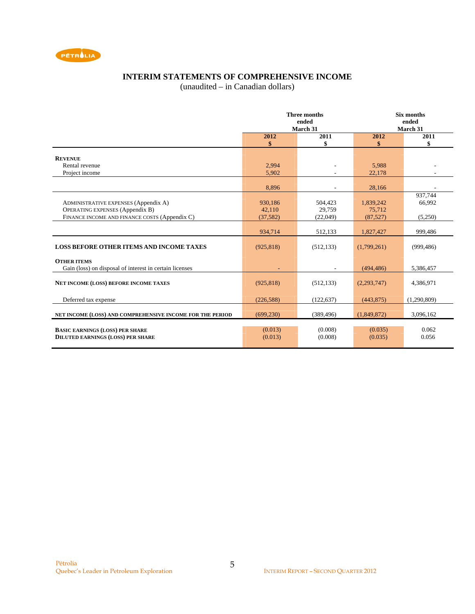

# **INTERIM STATEMENTS OF COMPREHENSIVE INCOME**

(unaudited – in Canadian dollars)

|                                                                                                                                        |                                | <b>Three months</b><br>ended<br>March 31 | <b>Six months</b><br>ended<br>March 31 |                              |
|----------------------------------------------------------------------------------------------------------------------------------------|--------------------------------|------------------------------------------|----------------------------------------|------------------------------|
|                                                                                                                                        | 2012<br>\$                     | 2011<br>\$                               | 2012<br>\$                             | 2011<br>\$                   |
| <b>REVENUE</b><br>Rental revenue<br>Project income                                                                                     | 2,994<br>5,902                 |                                          | 5.988<br>22,178                        |                              |
|                                                                                                                                        | 8.896                          |                                          | 28,166                                 |                              |
| <b>ADMINISTRATIVE EXPENSES (Appendix A)</b><br><b>OPERATING EXPENSES (Appendix B)</b><br>FINANCE INCOME AND FINANCE COSTS (Appendix C) | 930,186<br>42,110<br>(37, 582) | 504,423<br>29,759<br>(22,049)            | 1,839,242<br>75,712<br>(87,527)        | 937,744<br>66,992<br>(5,250) |
|                                                                                                                                        | 934,714                        | 512,133                                  | 1,827,427                              | 999.486                      |
| <b>LOSS BEFORE OTHER ITEMS AND INCOME TAXES</b>                                                                                        | (925, 818)                     | (512, 133)                               | (1,799,261)                            | (999, 486)                   |
| <b>OTHER ITEMS</b><br>Gain (loss) on disposal of interest in certain licenses                                                          |                                |                                          | (494, 486)                             | 5,386,457                    |
| <b>NET INCOME (LOSS) BEFORE INCOME TAXES</b>                                                                                           | (925, 818)                     | (512, 133)                               | (2,293,747)                            | 4,386,971                    |
| Deferred tax expense                                                                                                                   | (226, 588)                     | (122, 637)                               | (443, 875)                             | (1,290,809)                  |
| NET INCOME (LOSS) AND COMPREHENSIVE INCOME FOR THE PERIOD                                                                              | (699.230)                      | (389, 496)                               | (1,849,872)                            | 3,096,162                    |
| <b>BASIC EARNINGS (LOSS) PER SHARE</b><br><b>DILUTED EARNINGS (LOSS) PER SHARE</b>                                                     | (0.013)<br>(0.013)             | (0.008)<br>(0.008)                       | (0.035)<br>(0.035)                     | 0.062<br>0.056               |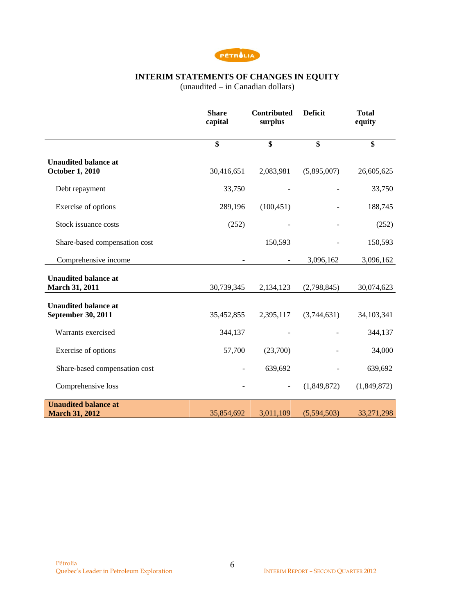

### **INTERIM STATEMENTS OF CHANGES IN EQUITY**

(unaudited – in Canadian dollars)

|                                                       | <b>Share</b><br>capital | <b>Contributed</b><br>surplus | <b>Deficit</b> | <b>Total</b><br>equity  |
|-------------------------------------------------------|-------------------------|-------------------------------|----------------|-------------------------|
|                                                       | $\overline{\mathbf{s}}$ | $\overline{\mathbf{s}}$       | \$             | $\overline{\mathbf{s}}$ |
| <b>Unaudited balance at</b><br><b>October 1, 2010</b> | 30,416,651              | 2,083,981                     | (5,895,007)    | 26,605,625              |
| Debt repayment                                        | 33,750                  |                               |                | 33,750                  |
| Exercise of options                                   | 289,196                 | (100, 451)                    |                | 188,745                 |
| Stock issuance costs                                  | (252)                   |                               |                | (252)                   |
| Share-based compensation cost                         |                         | 150,593                       |                | 150,593                 |
| Comprehensive income                                  |                         |                               | 3,096,162      | 3,096,162               |
| <b>Unaudited balance at</b><br><b>March 31, 2011</b>  | 30,739,345              | 2,134,123                     | (2,798,845)    | 30,074,623              |
| <b>Unaudited balance at</b><br>September 30, 2011     | 35,452,855              | 2,395,117                     | (3,744,631)    | 34,103,341              |
| Warrants exercised                                    | 344,137                 |                               |                | 344,137                 |
| Exercise of options                                   | 57,700                  | (23,700)                      |                | 34,000                  |
| Share-based compensation cost                         |                         | 639,692                       |                | 639,692                 |
| Comprehensive loss                                    |                         |                               | (1,849,872)    | (1,849,872)             |
| <b>Unaudited balance at</b><br><b>March 31, 2012</b>  | 35,854,692              | 3,011,109                     | (5,594,503)    | 33,271,298              |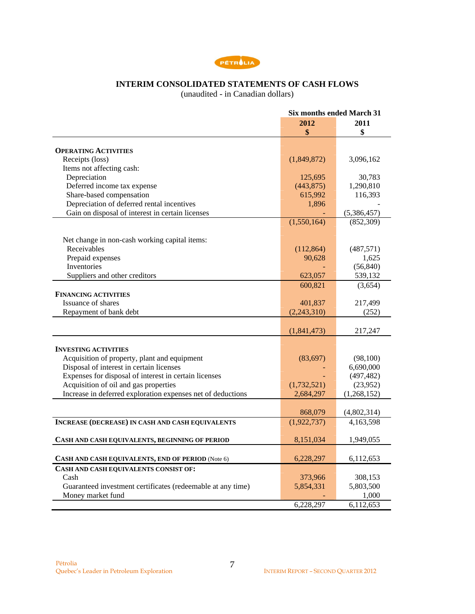

# **INTERIM CONSOLIDATED STATEMENTS OF CASH FLOWS**

(unaudited - in Canadian dollars)

|                                                                             |             | <b>Six months ended March 31</b> |
|-----------------------------------------------------------------------------|-------------|----------------------------------|
|                                                                             | 2012        | 2011                             |
|                                                                             | \$          | \$                               |
|                                                                             |             |                                  |
| <b>OPERATING ACTIVITIES</b>                                                 |             |                                  |
| Receipts (loss)                                                             | (1,849,872) | 3,096,162                        |
| Items not affecting cash:                                                   |             |                                  |
| Depreciation                                                                | 125,695     | 30,783                           |
| Deferred income tax expense                                                 | (443, 875)  | 1,290,810                        |
| Share-based compensation                                                    | 615,992     | 116,393                          |
| Depreciation of deferred rental incentives                                  | 1,896       |                                  |
| Gain on disposal of interest in certain licenses                            |             | (5,386,457)                      |
|                                                                             | (1,550,164) | (852, 309)                       |
|                                                                             |             |                                  |
| Net change in non-cash working capital items:                               |             |                                  |
| Receivables                                                                 | (112, 864)  | (487, 571)                       |
| Prepaid expenses                                                            | 90,628      | 1,625                            |
| Inventories                                                                 |             | (56, 840)                        |
| Suppliers and other creditors                                               | 623,057     | 539,132                          |
|                                                                             | 600,821     | (3,654)                          |
| <b>FINANCING ACTIVITIES</b>                                                 |             |                                  |
| Issuance of shares                                                          | 401,837     | 217,499                          |
| Repayment of bank debt                                                      | (2,243,310) | (252)                            |
|                                                                             |             |                                  |
|                                                                             | (1,841,473) | 217,247                          |
|                                                                             |             |                                  |
| <b>INVESTING ACTIVITIES</b><br>Acquisition of property, plant and equipment | (83, 697)   | (98,100)                         |
| Disposal of interest in certain licenses                                    |             | 6,690,000                        |
| Expenses for disposal of interest in certain licenses                       |             | (497, 482)                       |
| Acquisition of oil and gas properties                                       | (1,732,521) | (23,952)                         |
| Increase in deferred exploration expenses net of deductions                 | 2,684,297   | (1,268,152)                      |
|                                                                             |             |                                  |
|                                                                             | 868,079     | (4,802,314)                      |
| <b>INCREASE (DECREASE) IN CASH AND CASH EQUIVALENTS</b>                     | (1,922,737) | 4,163,598                        |
|                                                                             |             |                                  |
| CASH AND CASH EQUIVALENTS, BEGINNING OF PERIOD                              | 8,151,034   | 1,949,055                        |
|                                                                             |             |                                  |
| CASH AND CASH EQUIVALENTS, END OF PERIOD (Note 6)                           | 6,228,297   | 6,112,653                        |
| CASH AND CASH EQUIVALENTS CONSIST OF:                                       |             |                                  |
| Cash                                                                        | 373,966     | 308,153                          |
| Guaranteed investment certificates (redeemable at any time)                 | 5,854,331   | 5,803,500                        |
| Money market fund                                                           |             | 1,000                            |
|                                                                             | 6,228,297   | 6,112,653                        |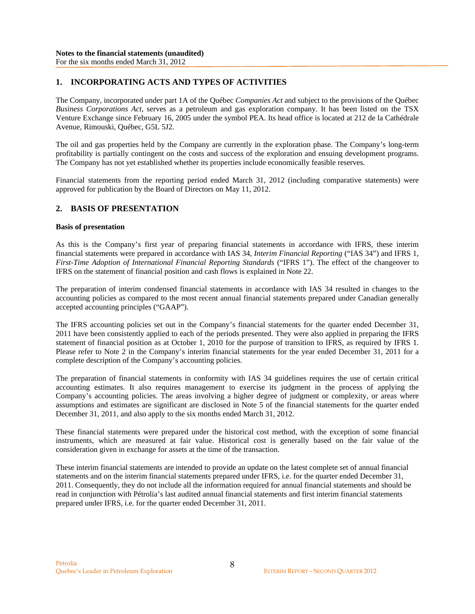### **1. INCORPORATING ACTS AND TYPES OF ACTIVITIES**

The Company, incorporated under part 1A of the Québec *Companies Act* and subject to the provisions of the Québec *Business Corporations Act*, serves as a petroleum and gas exploration company. It has been listed on the TSX Venture Exchange since February 16, 2005 under the symbol PEA. Its head office is located at 212 de la Cathédrale Avenue, Rimouski, Québec, G5L 5J2.

The oil and gas properties held by the Company are currently in the exploration phase. The Company's long-term profitability is partially contingent on the costs and success of the exploration and ensuing development programs. The Company has not yet established whether its properties include economically feasible reserves.

Financial statements from the reporting period ended March 31, 2012 (including comparative statements) were approved for publication by the Board of Directors on May 11, 2012.

### **2. BASIS OF PRESENTATION**

#### **Basis of presentation**

As this is the Company's first year of preparing financial statements in accordance with IFRS, these interim financial statements were prepared in accordance with IAS 34, *Interim Financial Reporting* ("IAS 34") and IFRS 1, *First-Time Adoption of International Financial Reporting Standards* ("IFRS 1"). The effect of the changeover to IFRS on the statement of financial position and cash flows is explained in Note 22.

The preparation of interim condensed financial statements in accordance with IAS 34 resulted in changes to the accounting policies as compared to the most recent annual financial statements prepared under Canadian generally accepted accounting principles ("GAAP").

The IFRS accounting policies set out in the Company's financial statements for the quarter ended December 31, 2011 have been consistently applied to each of the periods presented. They were also applied in preparing the IFRS statement of financial position as at October 1, 2010 for the purpose of transition to IFRS, as required by IFRS 1. Please refer to Note 2 in the Company's interim financial statements for the year ended December 31, 2011 for a complete description of the Company's accounting policies.

The preparation of financial statements in conformity with IAS 34 guidelines requires the use of certain critical accounting estimates. It also requires management to exercise its judgment in the process of applying the Company's accounting policies. The areas involving a higher degree of judgment or complexity, or areas where assumptions and estimates are significant are disclosed in Note 5 of the financial statements for the quarter ended December 31, 2011, and also apply to the six months ended March 31, 2012.

These financial statements were prepared under the historical cost method, with the exception of some financial instruments, which are measured at fair value. Historical cost is generally based on the fair value of the consideration given in exchange for assets at the time of the transaction.

These interim financial statements are intended to provide an update on the latest complete set of annual financial statements and on the interim financial statements prepared under IFRS, i.e. for the quarter ended December 31, 2011. Consequently, they do not include all the information required for annual financial statements and should be read in conjunction with Pétrolia's last audited annual financial statements and first interim financial statements prepared under IFRS, i.e. for the quarter ended December 31, 2011.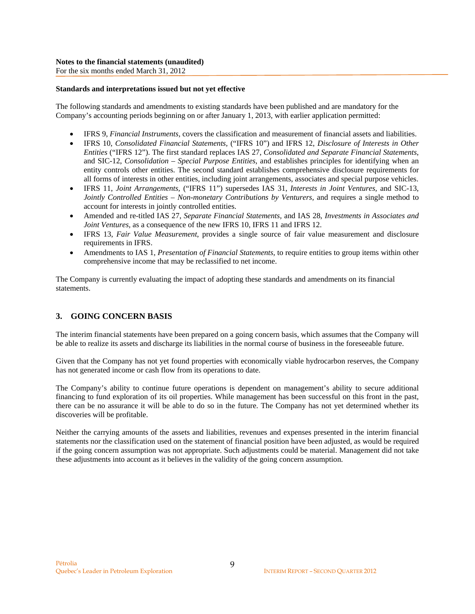For the six months ended March 31, 2012

#### **Standards and interpretations issued but not yet effective**

The following standards and amendments to existing standards have been published and are mandatory for the Company's accounting periods beginning on or after January 1, 2013, with earlier application permitted:

- IFRS 9, *Financial Instruments,* covers the classification and measurement of financial assets and liabilities.
- IFRS 10, *Consolidated Financial Statements,* ("IFRS 10") and IFRS 12, *Disclosure of Interests in Other Entities* ("IFRS 12"). The first standard replaces IAS 27, *Consolidated and Separate Financial Statements*, and SIC-12, *Consolidation – Special Purpose Entities*, and establishes principles for identifying when an entity controls other entities. The second standard establishes comprehensive disclosure requirements for all forms of interests in other entities, including joint arrangements, associates and special purpose vehicles.
- IFRS 11, *Joint Arrangements,* ("IFRS 11") supersedes IAS 31, *Interests in Joint Ventures,* and SIC-13, *Jointly Controlled Entities – Non-monetary Contributions by Venturers, and requires a single method to* account for interests in jointly controlled entities.
- Amended and re-titled IAS 27, *Separate Financial Statements,* and IAS 28, *Investments in Associates and Joint Ventures,* as a consequence of the new IFRS 10, IFRS 11 and IFRS 12.
- IFRS 13, *Fair Value Measurement*, provides a single source of fair value measurement and disclosure requirements in IFRS.
- Amendments to IAS 1, *Presentation of Financial Statements,* to require entities to group items within other comprehensive income that may be reclassified to net income.

The Company is currently evaluating the impact of adopting these standards and amendments on its financial statements.

## **3. GOING CONCERN BASIS**

The interim financial statements have been prepared on a going concern basis, which assumes that the Company will be able to realize its assets and discharge its liabilities in the normal course of business in the foreseeable future.

Given that the Company has not yet found properties with economically viable hydrocarbon reserves, the Company has not generated income or cash flow from its operations to date.

The Company's ability to continue future operations is dependent on management's ability to secure additional financing to fund exploration of its oil properties. While management has been successful on this front in the past, there can be no assurance it will be able to do so in the future. The Company has not yet determined whether its discoveries will be profitable.

Neither the carrying amounts of the assets and liabilities, revenues and expenses presented in the interim financial statements nor the classification used on the statement of financial position have been adjusted, as would be required if the going concern assumption was not appropriate. Such adjustments could be material. Management did not take these adjustments into account as it believes in the validity of the going concern assumption.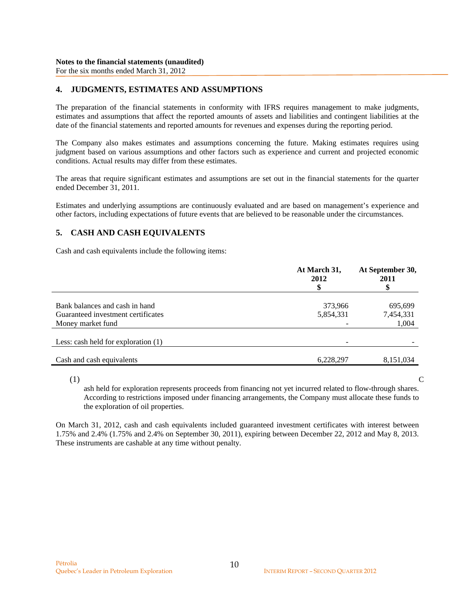### **4. JUDGMENTS, ESTIMATES AND ASSUMPTIONS**

The preparation of the financial statements in conformity with IFRS requires management to make judgments, estimates and assumptions that affect the reported amounts of assets and liabilities and contingent liabilities at the date of the financial statements and reported amounts for revenues and expenses during the reporting period.

The Company also makes estimates and assumptions concerning the future. Making estimates requires using judgment based on various assumptions and other factors such as experience and current and projected economic conditions. Actual results may differ from these estimates.

The areas that require significant estimates and assumptions are set out in the financial statements for the quarter ended December 31, 2011.

Estimates and underlying assumptions are continuously evaluated and are based on management's experience and other factors, including expectations of future events that are believed to be reasonable under the circumstances.

### **5. CASH AND CASH EQUIVALENTS**

Cash and cash equivalents include the following items:

|                                     | At March 31,<br>2012<br>\$ | At September 30,<br>2011 |
|-------------------------------------|----------------------------|--------------------------|
| Bank balances and cash in hand      | 373,966                    | 695,699                  |
| Guaranteed investment certificates  | 5,854,331                  | 7,454,331                |
| Money market fund                   |                            | 1,004                    |
| Less: cash held for exploration (1) |                            |                          |
| Cash and cash equivalents           | 6,228,297                  | 8,151,034                |

 $(1)$  C

ash held for exploration represents proceeds from financing not yet incurred related to flow-through shares. According to restrictions imposed under financing arrangements, the Company must allocate these funds to the exploration of oil properties.

On March 31, 2012, cash and cash equivalents included guaranteed investment certificates with interest between 1.75% and 2.4% (1.75% and 2.4% on September 30, 2011), expiring between December 22, 2012 and May 8, 2013. These instruments are cashable at any time without penalty.

10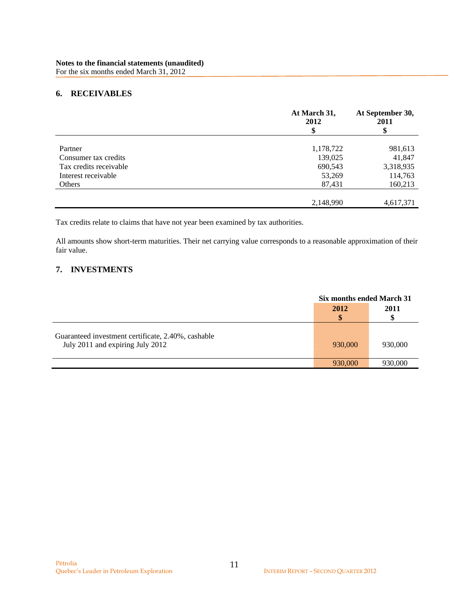### **6. RECEIVABLES**

|                        | At March 31,<br>2012<br>\$ | At September 30,<br>2011<br>\$ |
|------------------------|----------------------------|--------------------------------|
| Partner                | 1,178,722                  | 981,613                        |
| Consumer tax credits   | 139,025                    | 41,847                         |
| Tax credits receivable | 690,543                    | 3,318,935                      |
| Interest receivable    | 53,269                     | 114,763                        |
| Others                 | 87,431                     | 160,213                        |
|                        |                            |                                |
|                        | 2,148,990                  | 4,617,371                      |

Tax credits relate to claims that have not year been examined by tax authorities.

All amounts show short-term maturities. Their net carrying value corresponds to a reasonable approximation of their fair value.

### **7. INVESTMENTS**

|                                                                                        |         | Six months ended March 31 |  |
|----------------------------------------------------------------------------------------|---------|---------------------------|--|
|                                                                                        | 2012    | 2011                      |  |
| Guaranteed investment certificate, 2.40%, cashable<br>July 2011 and expiring July 2012 | 930,000 | 930,000                   |  |
|                                                                                        | 930,000 | 930,000                   |  |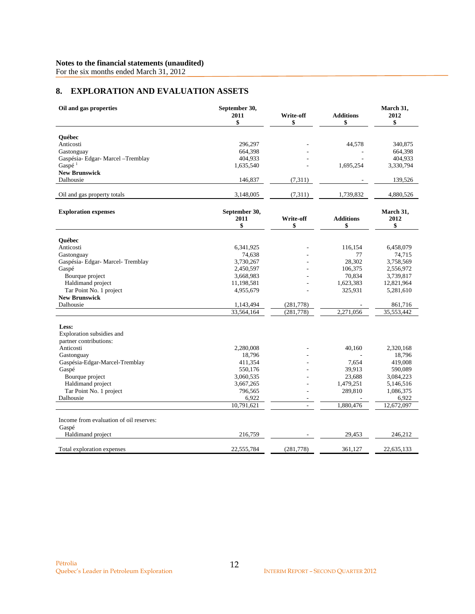For the six months ended March 31, 2012

# **8. EXPLORATION AND EVALUATION ASSETS**

| Oil and gas properties                           | September 30,<br>2011<br>\$ | Write-off<br>\$          | <b>Additions</b><br>\$ | March 31,<br>2012<br>\$ |
|--------------------------------------------------|-----------------------------|--------------------------|------------------------|-------------------------|
|                                                  |                             |                          |                        |                         |
| Ouébec                                           |                             |                          |                        |                         |
| Anticosti<br>Gastonguay                          | 296,297<br>664,398          |                          | 44,578                 | 340,875<br>664,398      |
| Gaspésia- Edgar- Marcel - Tremblay               | 404,933                     |                          |                        | 404,933                 |
| Gaspé $1$                                        | 1,635,540                   |                          | 1,695,254              | 3,330,794               |
| <b>New Brunswick</b>                             |                             |                          |                        |                         |
| Dalhousie                                        | 146,837                     | (7,311)                  |                        | 139,526                 |
| Oil and gas property totals                      | 3,148,005                   | (7,311)                  | 1,739,832              | 4,880,526               |
|                                                  |                             |                          |                        |                         |
| <b>Exploration expenses</b>                      | September 30,<br>2011<br>\$ | Write-off<br>\$          | <b>Additions</b><br>\$ | March 31,<br>2012<br>\$ |
|                                                  |                             |                          |                        |                         |
| Ouébec                                           |                             |                          |                        |                         |
| Anticosti                                        | 6,341,925                   |                          | 116,154                | 6,458,079               |
| Gastonguay                                       | 74,638                      |                          | 77                     | 74,715                  |
| Gaspésia- Edgar- Marcel- Tremblay                | 3,730,267                   |                          | 28,302                 | 3,758,569               |
| Gaspé                                            | 2,450,597                   |                          | 106,375                | 2,556,972               |
| Bourque project                                  | 3,668,983                   |                          | 70,834                 | 3,739,817               |
| Haldimand project<br>Tar Point No. 1 project     | 11,198,581<br>4,955,679     |                          | 1,623,383<br>325,931   | 12,821,964<br>5,281,610 |
| <b>New Brunswick</b>                             |                             |                          |                        |                         |
| Dalhousie                                        | 1,143,494                   | (281,778)                |                        | 861,716                 |
|                                                  | 33,564,164                  | (281, 778)               | 2,271,056              | 35,553,442              |
|                                                  |                             |                          |                        |                         |
| Less:<br>Exploration subsidies and               |                             |                          |                        |                         |
| partner contributions:                           |                             |                          |                        |                         |
| Anticosti                                        | 2,280,008                   |                          | 40,160                 | 2,320,168               |
| Gastonguay                                       | 18,796                      |                          |                        | 18,796                  |
| Gaspésia-Edgar-Marcel-Tremblay                   | 411,354                     |                          | 7,654                  | 419,008                 |
| Gaspé                                            | 550,176                     |                          | 39,913                 | 590,089                 |
| Bourque project                                  | 3,060,535                   |                          | 23,688                 | 3,084,223               |
| Haldimand project                                | 3,667,265                   |                          | 1,479,251              | 5,146,516               |
| Tar Point No. 1 project                          | 796,565                     |                          | 289,810                | 1,086,375               |
| Dalhousie                                        | 6,922                       | ٠                        |                        | 6,922                   |
|                                                  | 10,791,621                  | $\overline{\phantom{a}}$ | 1,880,476              | 12,672,097              |
| Income from evaluation of oil reserves:<br>Gaspé |                             |                          |                        |                         |
| Haldimand project                                | 216,759                     |                          | 29,453                 | 246,212                 |
| Total exploration expenses                       | 22,555,784                  | (281,778)                | 361,127                | 22,635,133              |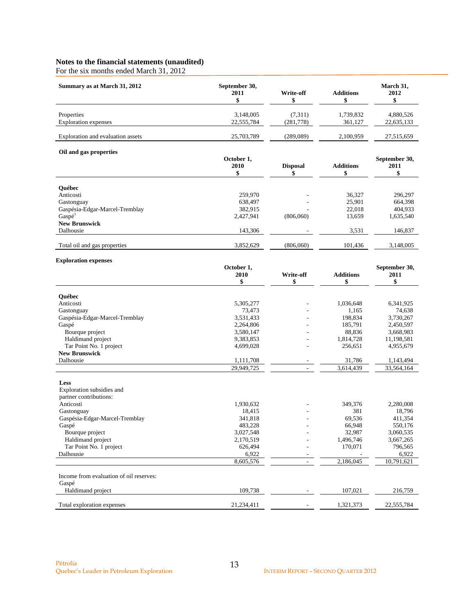For the six months ended March 31, 2012

| Summary as at March 31, 2012      | September 30,<br>2011 | Write-off | <b>Additions</b> | March 31,<br>2012 |
|-----------------------------------|-----------------------|-----------|------------------|-------------------|
| Properties                        | 3.148,005             | (7,311)   | 1,739,832        | 4,880,526         |
| <b>Exploration</b> expenses       | 22,555,784            | (281,778) | 361,127          | 22,635,133        |
| Exploration and evaluation assets | 25,703,789            | (289,089) | 2.100.959        | 27,515,659        |

#### **Oil and gas properties**

| On and gas properues           | October 1,<br>2010 | <b>Disposal</b>          | <b>Additions</b><br>м | September 30,<br>2011<br>\$ |
|--------------------------------|--------------------|--------------------------|-----------------------|-----------------------------|
| <b>Ouébec</b>                  |                    |                          |                       |                             |
| Anticosti                      | 259,970            | $\overline{\phantom{a}}$ | 36,327                | 296,297                     |
| Gastonguay                     | 638,497            | ۰                        | 25,901                | 664,398                     |
| Gaspésia-Edgar-Marcel-Tremblay | 382,915            |                          | 22,018                | 404,933                     |
| Gasp <sup>1</sup>              | 2,427,941          | (806,060)                | 13,659                | 1,635,540                   |
| <b>New Brunswick</b>           |                    |                          |                       |                             |
| Dalhousie                      | 143,306            |                          | 3,531                 | 146,837                     |
| Total oil and gas properties   | 3,852,629          | (806,060)                | 101,436               | 3,148,005                   |

#### **Exploration expenses**

|                                                  | October 1,<br>2010<br>\$ | Write-off<br>\$ | <b>Additions</b><br>\$ | September 30,<br>2011<br>\$ |
|--------------------------------------------------|--------------------------|-----------------|------------------------|-----------------------------|
| <b>Ouébec</b>                                    |                          |                 |                        |                             |
| Anticosti                                        | 5,305,277                |                 | 1,036,648              | 6,341,925                   |
| Gastonguay                                       | 73,473                   |                 | 1,165                  | 74,638                      |
| Gaspésia-Edgar-Marcel-Tremblay                   | 3,531,433                |                 | 198,834                | 3,730,267                   |
| Gaspé                                            | 2,264,806                |                 | 185,791                | 2,450,597                   |
| Bourque project                                  | 3,580,147                |                 | 88,836                 | 3,668,983                   |
| Haldimand project                                | 9,383,853                |                 | 1,814,728              | 11,198,581                  |
| Tar Point No. 1 project                          | 4,699,028                |                 | 256,651                | 4,955,679                   |
| <b>New Brunswick</b>                             |                          |                 |                        |                             |
| Dalhousie                                        | 1,111,708                |                 | 31,786                 | 1,143,494                   |
|                                                  | 29,949,725               |                 | 3,614,439              | 33,564,164                  |
| Less                                             |                          |                 |                        |                             |
| Exploration subsidies and                        |                          |                 |                        |                             |
| partner contributions:                           |                          |                 |                        |                             |
| Anticosti                                        | 1,930,632                |                 | 349,376                | 2,280,008                   |
| Gastonguay                                       | 18,415                   |                 | 381                    | 18,796                      |
| Gaspésia-Edgar-Marcel-Tremblay                   | 341,818                  |                 | 69,536                 | 411,354                     |
| Gaspé                                            | 483,228                  |                 | 66,948                 | 550,176                     |
| Bourque project                                  | 3,027,548                |                 | 32,987                 | 3,060,535                   |
| Haldimand project                                | 2,170,519                |                 | 1,496,746              | 3,667,265                   |
| Tar Point No. 1 project                          | 626,494                  |                 | 170,071                | 796,565                     |
| Dalhousie                                        | 6,922                    |                 |                        | 6,922                       |
|                                                  | 8,605,576                |                 | 2,186,045              | 10,791,621                  |
| Income from evaluation of oil reserves:<br>Gaspé |                          |                 |                        |                             |
| Haldimand project                                | 109,738                  |                 | 107,021                | 216,759                     |
| Total exploration expenses                       | 21,234,411               |                 | 1,321,373              | 22,555,784                  |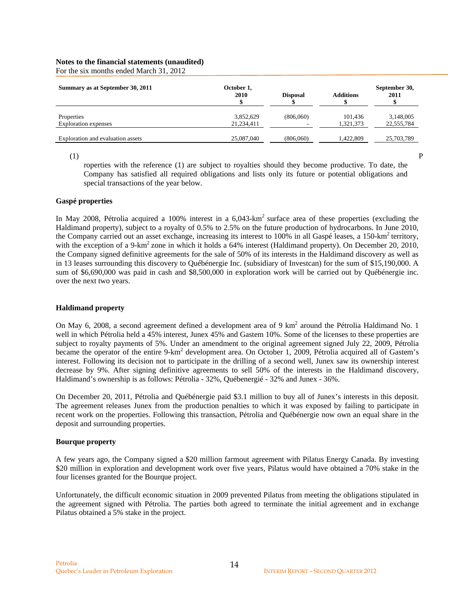For the six months ended March 31, 2012

| Summary as at September 30, 2011          | October 1,<br>2010      | <b>Disposal</b> | <b>Additions</b>     | September 30,<br>2011   |
|-------------------------------------------|-------------------------|-----------------|----------------------|-------------------------|
| Properties<br><b>Exploration</b> expenses | 3,852,629<br>21,234,411 | (806,060)<br>-  | 101,436<br>1,321,373 | 3,148,005<br>22,555,784 |
| Exploration and evaluation assets         | 25,087,040              | (806,060)       | 1.422.809            | 25,703,789              |

 $(1)$  P roperties with the reference (1) are subject to royalties should they become productive. To date, the Company has satisfied all required obligations and lists only its future or potential obligations and special transactions of the year below.

#### **Gaspé properties**

In May 2008, Pétrolia acquired a 100% interest in a  $6.043 \text{-} \text{km}^2$  surface area of these properties (excluding the Haldimand property), subject to a royalty of 0.5% to 2.5% on the future production of hydrocarbons. In June 2010, the Company carried out an asset exchange, increasing its interest to 100% in all Gaspé leases, a 150-km<sup>2</sup> territory, with the exception of a 9-km<sup>2</sup> zone in which it holds a 64% interest (Haldimand property). On December 20, 2010, the Company signed definitive agreements for the sale of 50% of its interests in the Haldimand discovery as well as in 13 leases surrounding this discovery to Québénergie Inc. (subsidiary of Investcan) for the sum of \$15,190,000. A sum of \$6,690,000 was paid in cash and \$8,500,000 in exploration work will be carried out by Québénergie inc. over the next two years.

#### **Haldimand property**

On May 6, 2008, a second agreement defined a development area of 9  $km^2$  around the Pétrolia Haldimand No. 1 well in which Pétrolia held a 45% interest, Junex 45% and Gastem 10%. Some of the licenses to these properties are subject to royalty payments of 5%. Under an amendment to the original agreement signed July 22, 2009, Pétrolia became the operator of the entire 9-km<sup>2</sup> development area. On October 1, 2009, Pétrolia acquired all of Gastem's interest. Following its decision not to participate in the drilling of a second well, Junex saw its ownership interest decrease by 9%. After signing definitive agreements to sell 50% of the interests in the Haldimand discovery, Haldimand's ownership is as follows: Pétrolia - 32%, Québenergié - 32% and Junex - 36%.

On December 20, 2011, Pétrolia and Québénergie paid \$3.1 million to buy all of Junex's interests in this deposit. The agreement releases Junex from the production penalties to which it was exposed by failing to participate in recent work on the properties. Following this transaction, Pétrolia and Québénergie now own an equal share in the deposit and surrounding properties.

#### **Bourque property**

A few years ago, the Company signed a \$20 million farmout agreement with Pilatus Energy Canada. By investing \$20 million in exploration and development work over five years, Pilatus would have obtained a 70% stake in the four licenses granted for the Bourque project.

Unfortunately, the difficult economic situation in 2009 prevented Pilatus from meeting the obligations stipulated in the agreement signed with Pétrolia. The parties both agreed to terminate the initial agreement and in exchange Pilatus obtained a 5% stake in the project.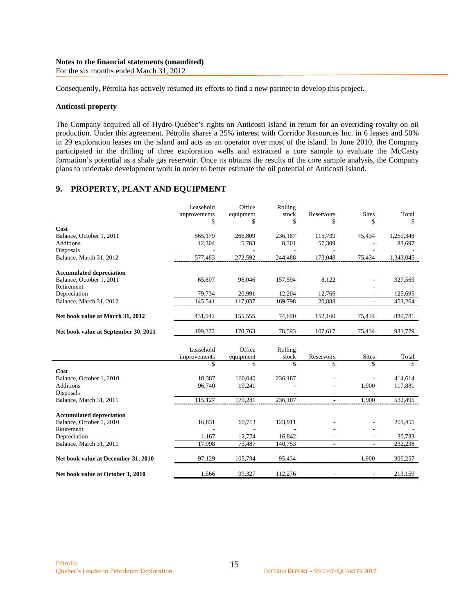#### **Notes to the financial statements (unaudited)**  For the six months ended March 31, 2012

Consequently, Pétrolia has actively resumed its efforts to find a new partner to develop this project.

#### **Anticosti property**

The Company acquired all of Hydro-Québec's rights on Anticosti Island in return for an overriding royalty on oil production. Under this agreement, Pétrolia shares a 25% interest with Corridor Resources Inc. in 6 leases and 50% in 29 exploration leases on the island and acts as an operator over most of the island. In June 2010, the Company participated in the drilling of three exploration wells and extracted a core sample to evaluate the McCasty formation's potential as a shale gas reservoir. Once its obtains the results of the core sample analysis, the Company plans to undertake development work in order to better estimate the oil potential of Anticosti Island.

### **9. PROPERTY, PLANT AND EQUIPMENT**

|                                      | Leasehold<br>improvements | Office          | Rolling<br>stock | Reservoirs               | <b>Sites</b>   | Total     |
|--------------------------------------|---------------------------|-----------------|------------------|--------------------------|----------------|-----------|
|                                      | \$                        | equipment<br>\$ | \$               | \$                       |                | \$.       |
| Cost                                 |                           |                 |                  |                          |                |           |
| Balance, October 1, 2011             | 565,179                   | 266,809         | 236,187          | 115,739                  | 75,434         | 1,259,348 |
| <b>Additions</b>                     | 12,304                    | 5,783           | 8,301            | 57,309                   |                | 83,697    |
| Disposals                            |                           |                 |                  |                          |                |           |
| Balance, March 31, 2012              | 577,483                   | 272,592         | 244,488          | 173,048                  | 75,434         | 1,343,045 |
|                                      |                           |                 |                  |                          |                |           |
| <b>Accumulated depreciation</b>      |                           |                 |                  |                          |                |           |
| Balance, October 1, 2011             | 65,807                    | 96,046          | 157,594          | 8,122                    | L,             | 327,569   |
| Retirement                           |                           |                 |                  |                          |                |           |
| Depreciation                         | 79,734                    | 20,991          | 12,204           | 12,766                   |                | 125,695   |
| Balance, March 31, 2012              | 145,541                   | 117,037         | 169,798          | 20,888                   |                | 453,264   |
|                                      |                           |                 |                  |                          |                |           |
| Net book value at March 31, 2012     | 431,942                   | 155,555         | 74,690           | 152,160                  | 75,434         | 889,781   |
|                                      |                           |                 |                  |                          |                |           |
| Net book value at September 30, 2011 | 499,372                   | 170,763         | 78,593           | 107,617                  | 75,434         | 931,779   |
|                                      |                           |                 |                  |                          |                |           |
|                                      | Leasehold                 | Office          | Rolling          |                          |                |           |
|                                      | improvements              | equipment       | stock            | Reservoirs               | <b>Sites</b>   | Total     |
|                                      | \$                        | \$              | \$               | \$                       | \$             | \$        |
| Cost                                 |                           |                 |                  |                          |                |           |
| Balance, October 1, 2010             | 18,387                    | 160,040         | 236,187          |                          |                | 414,614   |
| <b>Additions</b>                     | 96,740                    | 19,241          |                  |                          | 1,900          | 117,881   |
| Disposals                            |                           |                 |                  |                          |                |           |
| Balance, March 31, 2011              | 115,127                   | 179,281         | 236,187          |                          | 1,900          | 532,495   |
|                                      |                           |                 |                  |                          |                |           |
| <b>Accumulated depreciation</b>      |                           |                 |                  |                          |                |           |
| Balance, October 1, 2010             | 16,831                    | 60,713          | 123,911          |                          |                | 201,455   |
| Retirement                           |                           |                 |                  |                          |                |           |
| Depreciation                         | 1,167                     | 12,774          | 16,842           |                          |                | 30,783    |
| Balance, March 31, 2011              | 17,998                    | 73,487          | 140,753          | $\overline{\phantom{a}}$ | $\overline{a}$ | 232,238   |
|                                      |                           |                 |                  |                          |                |           |
| Net book value at December 31, 2010  | 97,129                    | 105,794         | 95,434           |                          | 1,900          | 300,257   |
|                                      |                           |                 |                  |                          |                |           |
| Net book value at October 1, 2010    | 1,566                     | 99,327          | 112,276          |                          |                | 213,159   |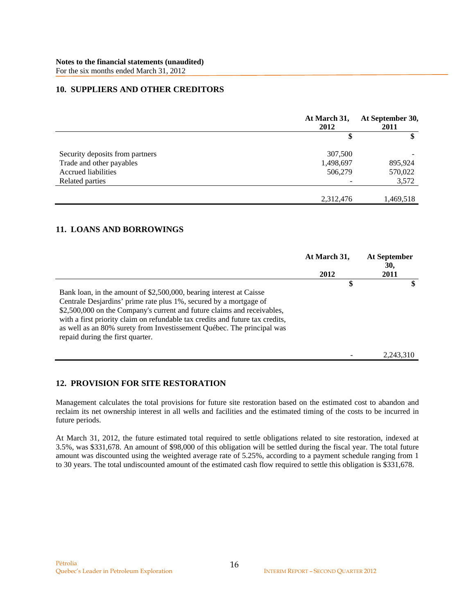### **10. SUPPLIERS AND OTHER CREDITORS**

|                                 | At March 31,<br>2012 | At September 30,<br>2011 |
|---------------------------------|----------------------|--------------------------|
|                                 | \$                   | \$                       |
| Security deposits from partners | 307,500              |                          |
| Trade and other payables        | 1,498,697            | 895,924                  |
| <b>Accrued liabilities</b>      | 506,279              | 570,022                  |
| Related parties                 |                      | 3,572                    |
|                                 |                      |                          |
|                                 | 2,312,476            | 1,469,518                |

### **11. LOANS AND BORROWINGS**

|                                                                                                                                                                                                                                                                                                                                                                                                                    | At March 31, | At September<br>30, |
|--------------------------------------------------------------------------------------------------------------------------------------------------------------------------------------------------------------------------------------------------------------------------------------------------------------------------------------------------------------------------------------------------------------------|--------------|---------------------|
|                                                                                                                                                                                                                                                                                                                                                                                                                    | 2012         | 2011                |
| Bank loan, in the amount of \$2,500,000, bearing interest at Caisse<br>Centrale Desjardins' prime rate plus 1%, secured by a mortgage of<br>\$2,500,000 on the Company's current and future claims and receivables,<br>with a first priority claim on refundable tax credits and future tax credits,<br>as well as an 80% surety from Investissement Québec. The principal was<br>repaid during the first quarter. | \$           |                     |
|                                                                                                                                                                                                                                                                                                                                                                                                                    |              | 2.243.310           |

### **12. PROVISION FOR SITE RESTORATION**

Management calculates the total provisions for future site restoration based on the estimated cost to abandon and reclaim its net ownership interest in all wells and facilities and the estimated timing of the costs to be incurred in future periods.

At March 31, 2012, the future estimated total required to settle obligations related to site restoration, indexed at 3.5%, was \$331,678. An amount of \$98,000 of this obligation will be settled during the fiscal year. The total future amount was discounted using the weighted average rate of 5.25%, according to a payment schedule ranging from 1 to 30 years. The total undiscounted amount of the estimated cash flow required to settle this obligation is \$331,678.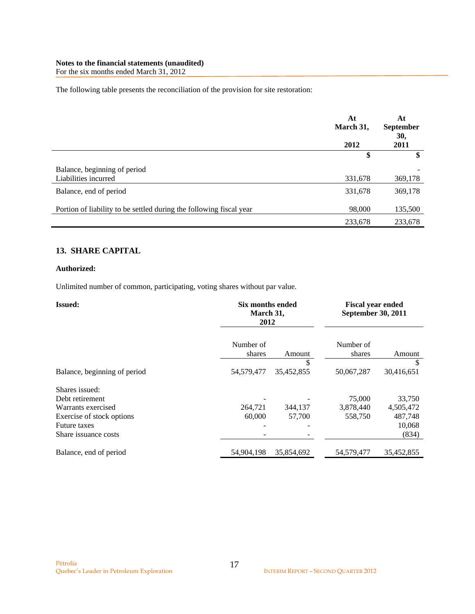For the six months ended March 31, 2012

The following table presents the reconciliation of the provision for site restoration:

|                                                                     | At<br>March 31,<br>2012 | At<br><b>September</b><br>30,<br>2011 |
|---------------------------------------------------------------------|-------------------------|---------------------------------------|
|                                                                     | \$                      | \$                                    |
| Balance, beginning of period<br>Liabilities incurred                | 331,678                 | 369,178                               |
| Balance, end of period                                              | 331,678                 | 369,178                               |
| Portion of liability to be settled during the following fiscal year | 98,000                  | 135,500                               |
|                                                                     | 233,678                 | 233,678                               |

### **13. SHARE CAPITAL**

#### **Authorized:**

Unlimited number of common, participating, voting shares without par value.

| <b>Issued:</b>               | Six months ended<br>March 31,<br>2012 |                  | <b>Fiscal year ended</b><br>September 30, 2011 |                 |
|------------------------------|---------------------------------------|------------------|------------------------------------------------|-----------------|
|                              | Number of<br>shares                   | Amount           | Number of<br>shares                            | Amount          |
| Balance, beginning of period | 54,579,477                            | \$<br>35,452,855 | 50,067,287                                     | S<br>30,416,651 |
| Shares issued:               |                                       |                  |                                                |                 |
| Debt retirement              |                                       |                  | 75,000                                         | 33,750          |
| Warrants exercised           | 264,721                               | 344,137          | 3,878,440                                      | 4,505,472       |
| Exercise of stock options    | 60,000                                | 57,700           | 558,750                                        | 487,748         |
| <b>Future taxes</b>          |                                       |                  |                                                | 10,068          |
| Share issuance costs         |                                       |                  |                                                | (834)           |
| Balance, end of period       | 54,904,198                            | 35,854,692       | 54,579,477                                     | 35,452,855      |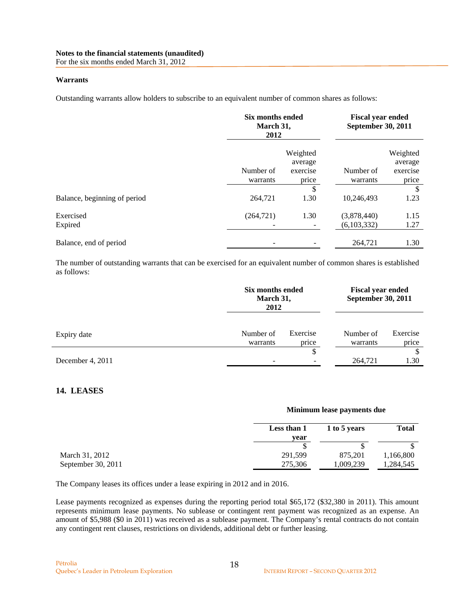For the six months ended March 31, 2012

#### **Warrants**

Outstanding warrants allow holders to subscribe to an equivalent number of common shares as follows:

|                              | Six months ended<br>March 31,<br>2012 |                                          | <b>Fiscal year ended</b><br><b>September 30, 2011</b> |                                          |
|------------------------------|---------------------------------------|------------------------------------------|-------------------------------------------------------|------------------------------------------|
|                              | Number of<br>warrants                 | Weighted<br>average<br>exercise<br>price | Number of<br>warrants                                 | Weighted<br>average<br>exercise<br>price |
| Balance, beginning of period | 264,721                               | \$<br>1.30                               | 10,246,493                                            | \$<br>1.23                               |
| Exercised<br>Expired         | (264, 721)                            | 1.30                                     | (3,878,440)<br>(6,103,332)                            | 1.15<br>1.27                             |
| Balance, end of period       |                                       |                                          | 264,721                                               | 1.30                                     |

The number of outstanding warrants that can be exercised for an equivalent number of common shares is established as follows:

|                  | Six months ended<br>March 31,<br>2012 |                   | <b>Fiscal year ended</b><br><b>September 30, 2011</b> |                   |
|------------------|---------------------------------------|-------------------|-------------------------------------------------------|-------------------|
| Expiry date      | Number of<br>warrants                 | Exercise<br>price | Number of<br>warrants                                 | Exercise<br>price |
| December 4, 2011 | -                                     | \$                | 264,721                                               | 1.30              |

### **14. LEASES**

|                    | <b>NIMIDIQUE REASE PAYMERS QUE</b> |              |              |  |
|--------------------|------------------------------------|--------------|--------------|--|
|                    | Less than 1                        | 1 to 5 years | <b>Total</b> |  |
|                    | vear                               |              |              |  |
|                    |                                    |              |              |  |
| March 31, 2012     | 291,599                            | 875.201      | 1,166,800    |  |
| September 30, 2011 | 275,306                            | 1,009,239    | 1,284,545    |  |

The Company leases its offices under a lease expiring in 2012 and in 2016.

Lease payments recognized as expenses during the reporting period total \$65,172 (\$32,380 in 2011). This amount represents minimum lease payments. No sublease or contingent rent payment was recognized as an expense. An amount of \$5,988 (\$0 in 2011) was received as a sublease payment. The Company's rental contracts do not contain any contingent rent clauses, restrictions on dividends, additional debt or further leasing.

**Minimum lease payments due**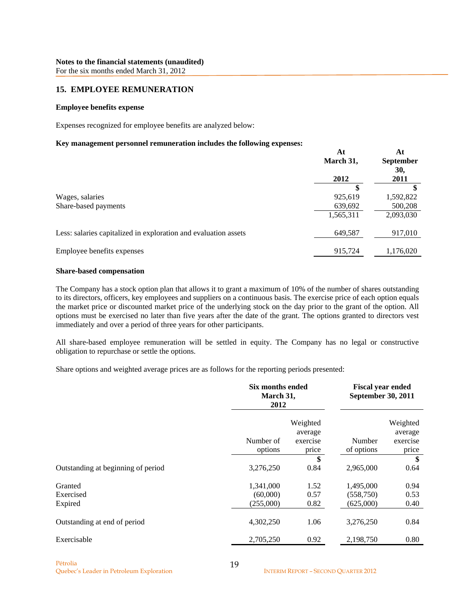### **15. EMPLOYEE REMUNERATION**

#### **Employee benefits expense**

Expenses recognized for employee benefits are analyzed below:

#### **Key management personnel remuneration includes the following expenses:**

|                                                                 | At<br>March 31, | At<br><b>September</b><br>30, |
|-----------------------------------------------------------------|-----------------|-------------------------------|
|                                                                 | 2012            | 2011                          |
|                                                                 |                 |                               |
| Wages, salaries                                                 | 925,619         | 1,592,822                     |
| Share-based payments                                            | 639,692         | 500,208                       |
|                                                                 | 1,565,311       | 2,093,030                     |
| Less: salaries capitalized in exploration and evaluation assets | 649,587         | 917,010                       |
| Employee benefits expenses                                      | 915,724         | 1,176,020                     |

#### **Share-based compensation**

The Company has a stock option plan that allows it to grant a maximum of 10% of the number of shares outstanding to its directors, officers, key employees and suppliers on a continuous basis. The exercise price of each option equals the market price or discounted market price of the underlying stock on the day prior to the grant of the option. All options must be exercised no later than five years after the date of the grant. The options granted to directors vest immediately and over a period of three years for other participants.

All share-based employee remuneration will be settled in equity. The Company has no legal or constructive obligation to repurchase or settle the options.

Share options and weighted average prices are as follows for the reporting periods presented:

|                                    | Six months ended<br>March 31,<br>2012 |                                          | <b>Fiscal year ended</b><br>September 30, 2011 |                                          |
|------------------------------------|---------------------------------------|------------------------------------------|------------------------------------------------|------------------------------------------|
|                                    | Number of<br>options                  | Weighted<br>average<br>exercise<br>price | Number<br>of options                           | Weighted<br>average<br>exercise<br>price |
| Outstanding at beginning of period | 3,276,250                             | \$<br>0.84                               | 2,965,000                                      | \$<br>0.64                               |
|                                    |                                       |                                          |                                                |                                          |
| Granted                            | 1,341,000                             | 1.52                                     | 1,495,000                                      | 0.94                                     |
| Exercised                          | (60,000)                              | 0.57                                     | (558,750)                                      | 0.53                                     |
| Expired                            | (255,000)                             | 0.82                                     | (625,000)                                      | 0.40                                     |
| Outstanding at end of period       | 4,302,250                             | 1.06                                     | 3,276,250                                      | 0.84                                     |
| Exercisable                        | 2,705,250                             | 0.92                                     | 2,198,750                                      | 0.80                                     |
|                                    |                                       |                                          |                                                |                                          |

**At**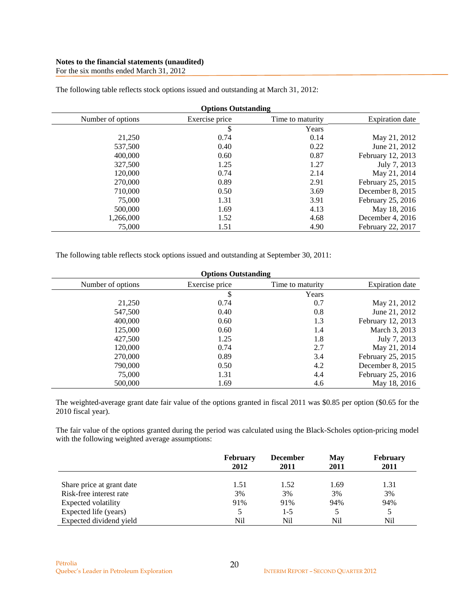For the six months ended March 31, 2012

| <b>Options Outstanding</b> |                |                  |                        |  |
|----------------------------|----------------|------------------|------------------------|--|
| Number of options          | Exercise price | Time to maturity | <b>Expiration</b> date |  |
|                            | \$             | Years            |                        |  |
| 21,250                     | 0.74           | 0.14             | May 21, 2012           |  |
| 537,500                    | 0.40           | 0.22             | June 21, 2012          |  |
| 400,000                    | 0.60           | 0.87             | February 12, 2013      |  |
| 327,500                    | 1.25           | 1.27             | July 7, 2013           |  |
| 120,000                    | 0.74           | 2.14             | May 21, 2014           |  |
| 270,000                    | 0.89           | 2.91             | February 25, 2015      |  |
| 710,000                    | 0.50           | 3.69             | December 8, 2015       |  |
| 75,000                     | 1.31           | 3.91             | February 25, 2016      |  |
| 500,000                    | 1.69           | 4.13             | May 18, 2016           |  |
| 1,266,000                  | 1.52           | 4.68             | December 4, 2016       |  |
| 75,000                     | 1.51           | 4.90             | February 22, 2017      |  |

The following table reflects stock options issued and outstanding at March 31, 2012:

The following table reflects stock options issued and outstanding at September 30, 2011:

| <b>Options Outstanding</b> |                |                  |                        |  |
|----------------------------|----------------|------------------|------------------------|--|
| Number of options          | Exercise price | Time to maturity | <b>Expiration</b> date |  |
|                            | \$             | Years            |                        |  |
| 21,250                     | 0.74           | 0.7              | May 21, 2012           |  |
| 547,500                    | 0.40           | 0.8              | June 21, 2012          |  |
| 400,000                    | 0.60           | 1.3              | February 12, 2013      |  |
| 125,000                    | 0.60           | 1.4              | March 3, 2013          |  |
| 427,500                    | 1.25           | 1.8              | July 7, 2013           |  |
| 120,000                    | 0.74           | 2.7              | May 21, 2014           |  |
| 270,000                    | 0.89           | 3.4              | February 25, 2015      |  |
| 790,000                    | 0.50           | 4.2              | December 8, 2015       |  |
| 75,000                     | 1.31           | 4.4              | February 25, 2016      |  |
| 500,000                    | 1.69           | 4.6              | May 18, 2016           |  |

The weighted-average grant date fair value of the options granted in fiscal 2011 was \$0.85 per option (\$0.65 for the 2010 fiscal year).

The fair value of the options granted during the period was calculated using the Black-Scholes option-pricing model with the following weighted average assumptions:

|                           | <b>February</b><br>2012 | <b>December</b><br>2011 | May<br>2011 | <b>February</b><br>2011 |
|---------------------------|-------------------------|-------------------------|-------------|-------------------------|
| Share price at grant date | 1.51                    | 1.52                    | 1.69        | 1.31                    |
| Risk-free interest rate   | 3%                      | 3%                      | 3%          | 3%                      |
| Expected volatility       | 91%                     | 91%                     | 94%         | 94%                     |
| Expected life (years)     |                         | $1-5$                   |             |                         |
| Expected dividend yield   | Nil                     | Nil                     | Nil         | Nil                     |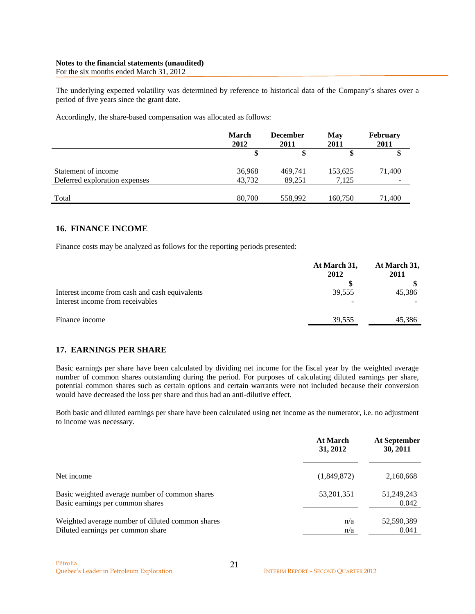#### **Notes to the financial statements (unaudited)**  For the six months ended March 31, 2012

The underlying expected volatility was determined by reference to historical data of the Company's shares over a period of five years since the grant date.

Accordingly, the share-based compensation was allocated as follows:

|                               | <b>March</b><br>2012 | <b>December</b><br>2011 | <b>May</b><br>2011 | <b>February</b><br>2011  |
|-------------------------------|----------------------|-------------------------|--------------------|--------------------------|
|                               |                      |                         |                    |                          |
| Statement of income           | 36,968               | 469,741                 | 153,625            | 71,400                   |
| Deferred exploration expenses | 43.732               | 89.251                  | 7.125              | $\overline{\phantom{a}}$ |
| Total                         | 80,700               | 558,992                 | 160,750            | 71,400                   |

### **16. FINANCE INCOME**

Finance costs may be analyzed as follows for the reporting periods presented:

|                                                                                    | At March 31,<br>2012 | At March 31,<br>2011 |  |
|------------------------------------------------------------------------------------|----------------------|----------------------|--|
| Interest income from cash and cash equivalents<br>Interest income from receivables | 39,555               | 45,386               |  |
| Finance income                                                                     | 39,555               | 45,386               |  |

### **17. EARNINGS PER SHARE**

Basic earnings per share have been calculated by dividing net income for the fiscal year by the weighted average number of common shares outstanding during the period. For purposes of calculating diluted earnings per share, potential common shares such as certain options and certain warrants were not included because their conversion would have decreased the loss per share and thus had an anti-dilutive effect.

Both basic and diluted earnings per share have been calculated using net income as the numerator, i.e. no adjustment to income was necessary.

|                                                                                       | <b>At March</b><br>31, 2012 | At September<br>30, 2011 |
|---------------------------------------------------------------------------------------|-----------------------------|--------------------------|
| Net income                                                                            | (1,849,872)                 | 2,160,668                |
| Basic weighted average number of common shares<br>Basic earnings per common shares    | 53, 201, 351                | 51,249,243<br>0.042      |
| Weighted average number of diluted common shares<br>Diluted earnings per common share | n/a<br>n/a                  | 52,590,389<br>0.041      |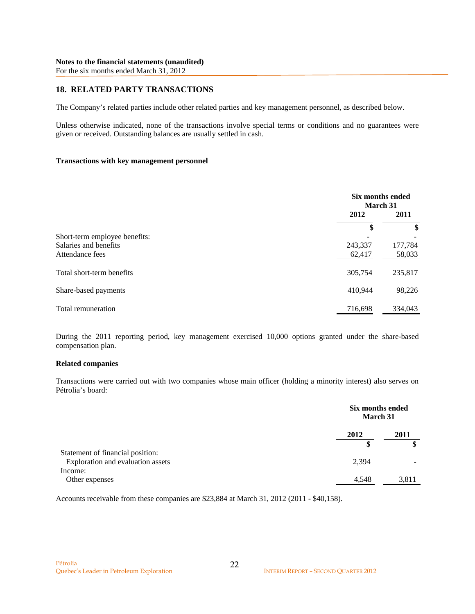# **18. RELATED PARTY TRANSACTIONS**

The Company's related parties include other related parties and key management personnel, as described below.

Unless otherwise indicated, none of the transactions involve special terms or conditions and no guarantees were given or received. Outstanding balances are usually settled in cash.

#### **Transactions with key management personnel**

|                               |         | Six months ended<br>March 31 |  |
|-------------------------------|---------|------------------------------|--|
|                               | 2012    | 2011                         |  |
|                               | \$      | \$                           |  |
| Short-term employee benefits: |         |                              |  |
| Salaries and benefits         | 243,337 | 177,784                      |  |
| Attendance fees               | 62,417  | 58,033                       |  |
| Total short-term benefits     | 305,754 | 235,817                      |  |
| Share-based payments          | 410.944 | 98,226                       |  |
| Total remuneration            | 716,698 | 334,043                      |  |

During the 2011 reporting period, key management exercised 10,000 options granted under the share-based compensation plan.

#### **Related companies**

Transactions were carried out with two companies whose main officer (holding a minority interest) also serves on Pétrolia's board:

|                                   | Six months ended<br><b>March 31</b> |       |
|-----------------------------------|-------------------------------------|-------|
|                                   | 2012                                | 2011  |
|                                   |                                     | œ     |
| Statement of financial position:  |                                     |       |
| Exploration and evaluation assets | 2,394                               |       |
| Income:                           |                                     |       |
| Other expenses                    | 4,548                               | 3,811 |

Accounts receivable from these companies are \$23,884 at March 31, 2012 (2011 - \$40,158).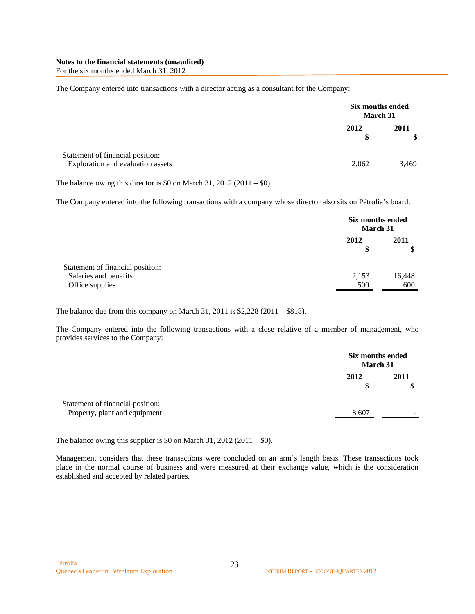For the six months ended March 31, 2012

The Company entered into transactions with a director acting as a consultant for the Company:

|                                   | Six months ended<br>March 31 |       |
|-----------------------------------|------------------------------|-------|
|                                   | 2012                         | 2011  |
|                                   |                              |       |
| Statement of financial position:  |                              |       |
| Exploration and evaluation assets | 2,062                        | 3,469 |

The balance owing this director is \$0 on March 31, 2012 (2011 – \$0).

The Company entered into the following transactions with a company whose director also sits on Pétrolia's board:

|                                  |       | Six months ended<br><b>March 31</b> |  |
|----------------------------------|-------|-------------------------------------|--|
|                                  | 2012  | 2011                                |  |
|                                  |       |                                     |  |
| Statement of financial position: |       |                                     |  |
| Salaries and benefits            | 2,153 | 16,448                              |  |
| Office supplies                  | 500   | 600                                 |  |

The balance due from this company on March 31, 2011 is \$2,228 (2011 – \$818).

The Company entered into the following transactions with a close relative of a member of management, who provides services to the Company:

|                                                                   | Six months ended<br><b>March 31</b> |           |
|-------------------------------------------------------------------|-------------------------------------|-----------|
|                                                                   | 2012                                | 2011<br>S |
| Statement of financial position:<br>Property, plant and equipment | 8,607                               |           |

The balance owing this supplier is \$0 on March 31, 2012 (2011 – \$0).

Management considers that these transactions were concluded on an arm's length basis. These transactions took place in the normal course of business and were measured at their exchange value, which is the consideration established and accepted by related parties.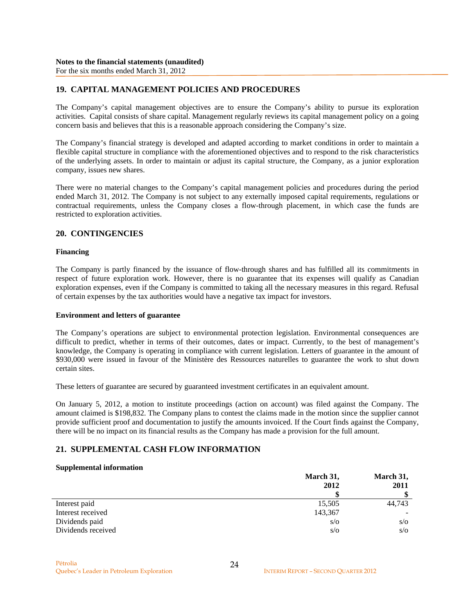### **19. CAPITAL MANAGEMENT POLICIES AND PROCEDURES**

The Company's capital management objectives are to ensure the Company's ability to pursue its exploration activities. Capital consists of share capital. Management regularly reviews its capital management policy on a going concern basis and believes that this is a reasonable approach considering the Company's size.

The Company's financial strategy is developed and adapted according to market conditions in order to maintain a flexible capital structure in compliance with the aforementioned objectives and to respond to the risk characteristics of the underlying assets. In order to maintain or adjust its capital structure, the Company, as a junior exploration company, issues new shares.

There were no material changes to the Company's capital management policies and procedures during the period ended March 31, 2012. The Company is not subject to any externally imposed capital requirements, regulations or contractual requirements, unless the Company closes a flow-through placement, in which case the funds are restricted to exploration activities.

#### **20. CONTINGENCIES**

#### **Financing**

The Company is partly financed by the issuance of flow-through shares and has fulfilled all its commitments in respect of future exploration work. However, there is no guarantee that its expenses will qualify as Canadian exploration expenses, even if the Company is committed to taking all the necessary measures in this regard. Refusal of certain expenses by the tax authorities would have a negative tax impact for investors.

#### **Environment and letters of guarantee**

The Company's operations are subject to environmental protection legislation. Environmental consequences are difficult to predict, whether in terms of their outcomes, dates or impact. Currently, to the best of management's knowledge, the Company is operating in compliance with current legislation. Letters of guarantee in the amount of \$930,000 were issued in favour of the Ministère des Ressources naturelles to guarantee the work to shut down certain sites.

These letters of guarantee are secured by guaranteed investment certificates in an equivalent amount.

On January 5, 2012, a motion to institute proceedings (action on account) was filed against the Company. The amount claimed is \$198,832. The Company plans to contest the claims made in the motion since the supplier cannot provide sufficient proof and documentation to justify the amounts invoiced. If the Court finds against the Company, there will be no impact on its financial results as the Company has made a provision for the full amount.

### **21. SUPPLEMENTAL CASH FLOW INFORMATION**

#### **Supplemental information**

|                    | March 31,  | March 31, |  |
|--------------------|------------|-----------|--|
|                    | 2012       | 2011      |  |
|                    |            | \$        |  |
| Interest paid      | 15,505     | 44,743    |  |
| Interest received  | 143,367    |           |  |
| Dividends paid     | $s/\sigma$ | S/O       |  |
| Dividends received | $s/\sigma$ | S/O       |  |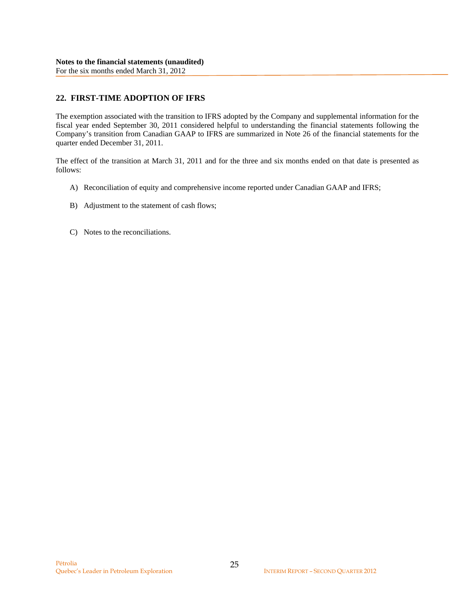# **22. FIRST-TIME ADOPTION OF IFRS**

The exemption associated with the transition to IFRS adopted by the Company and supplemental information for the fiscal year ended September 30, 2011 considered helpful to understanding the financial statements following the Company's transition from Canadian GAAP to IFRS are summarized in Note 26 of the financial statements for the quarter ended December 31, 2011.

The effect of the transition at March 31, 2011 and for the three and six months ended on that date is presented as follows:

- A) Reconciliation of equity and comprehensive income reported under Canadian GAAP and IFRS;
- B) Adjustment to the statement of cash flows;
- C) Notes to the reconciliations.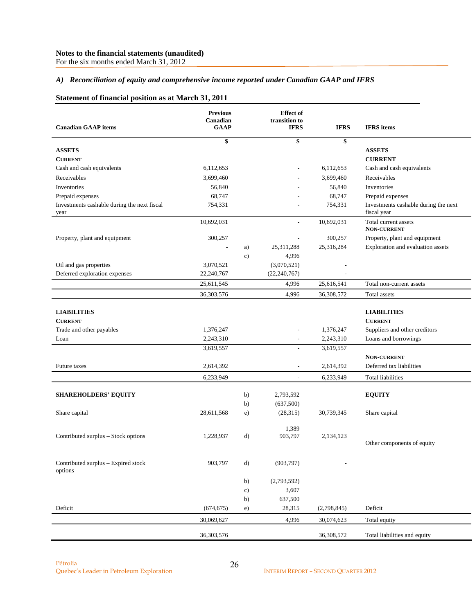For the six months ended March 31, 2012

#### *A) Reconciliation of equity and comprehensive income reported under Canadian GAAP and IFRS*

### **Statement of financial position as at March 31, 2011**

| <b>Canadian GAAP</b> items                          | <b>Previous</b><br>Canadian<br><b>GAAP</b> |               | <b>Effect</b> of<br>transition to<br><b>IFRS</b> | <b>IFRS</b> | <b>IFRS</b> items                                   |
|-----------------------------------------------------|--------------------------------------------|---------------|--------------------------------------------------|-------------|-----------------------------------------------------|
|                                                     | \$                                         |               | \$                                               | \$          |                                                     |
| <b>ASSETS</b>                                       |                                            |               |                                                  |             | <b>ASSETS</b>                                       |
| <b>CURRENT</b>                                      |                                            |               |                                                  |             | <b>CURRENT</b>                                      |
| Cash and cash equivalents                           | 6,112,653                                  |               |                                                  | 6,112,653   | Cash and cash equivalents                           |
| Receivables                                         | 3,699,460                                  |               |                                                  | 3,699,460   | Receivables                                         |
| Inventories                                         | 56,840                                     |               |                                                  | 56,840      | Inventories                                         |
| Prepaid expenses                                    | 68,747                                     |               |                                                  | 68,747      | Prepaid expenses                                    |
| Investments cashable during the next fiscal<br>year | 754,331                                    |               |                                                  | 754,331     | Investments cashable during the next<br>fiscal year |
|                                                     | 10,692,031                                 |               |                                                  | 10,692,031  | Total current assets<br><b>NON-CURRENT</b>          |
| Property, plant and equipment                       | 300,257                                    |               |                                                  | 300,257     | Property, plant and equipment                       |
|                                                     | $\overline{a}$                             | a)            | 25,311,288                                       | 25,316,284  | Exploration and evaluation assets                   |
|                                                     |                                            | $\mathbf{c})$ | 4,996                                            |             |                                                     |
| Oil and gas properties                              | 3,070,521                                  |               | (3,070,521)                                      |             |                                                     |
| Deferred exploration expenses                       | 22,240,767                                 |               | (22, 240, 767)                                   |             |                                                     |
|                                                     | 25,611,545                                 |               | 4,996                                            | 25,616,541  | Total non-current assets                            |
|                                                     | 36, 303, 576                               |               | 4,996                                            | 36,308,572  | Total assets                                        |
| <b>LIABILITIES</b>                                  |                                            |               |                                                  |             | <b>LIABILITIES</b>                                  |
| <b>CURRENT</b>                                      |                                            |               |                                                  |             | <b>CURRENT</b>                                      |
| Trade and other payables                            | 1,376,247                                  |               |                                                  | 1,376,247   | Suppliers and other creditors                       |
| Loan                                                | 2,243,310                                  |               | $\overline{\phantom{a}}$                         | 2,243,310   | Loans and borrowings                                |
|                                                     | 3,619,557                                  |               | $\overline{\phantom{a}}$                         | 3,619,557   |                                                     |
| Future taxes                                        | 2,614,392                                  |               | $\overline{\phantom{a}}$                         | 2,614,392   | <b>NON-CURRENT</b><br>Deferred tax liabilities      |
|                                                     | 6,233,949                                  |               | $\overline{\phantom{a}}$                         | 6,233,949   | <b>Total liabilities</b>                            |
| <b>SHAREHOLDERS' EQUITY</b>                         |                                            | b)            | 2,793,592                                        |             | <b>EQUITY</b>                                       |
|                                                     |                                            | b)            | (637,500)                                        |             |                                                     |
| Share capital                                       | 28,611,568                                 | e)            | (28, 315)                                        | 30,739,345  | Share capital                                       |
|                                                     |                                            |               | 1,389                                            |             |                                                     |
| Contributed surplus - Stock options                 | 1,228,937                                  | $\mathbf{d}$  | 903,797                                          | 2,134,123   |                                                     |
|                                                     |                                            |               |                                                  |             | Other components of equity                          |
| Contributed surplus - Expired stock<br>options      | 903,797                                    | d)            | (903, 797)                                       |             |                                                     |
|                                                     |                                            | b)            | (2,793,592)                                      |             |                                                     |
|                                                     |                                            | c)            | 3,607                                            |             |                                                     |
|                                                     |                                            | b)            | 637,500                                          |             |                                                     |
| Deficit                                             | (674, 675)                                 | e)            | 28,315                                           | (2,798,845) | Deficit                                             |
|                                                     | 30,069,627                                 |               | 4,996                                            | 30,074,623  | Total equity                                        |
|                                                     | 36,303,576                                 |               |                                                  | 36,308,572  | Total liabilities and equity                        |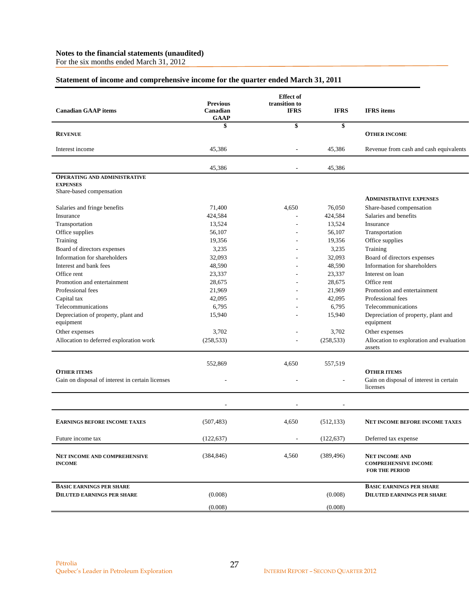For the six months ended March 31, 2012

### **Statement of income and comprehensive income for the quarter ended March 31, 2011**

| <b>Canadian GAAP</b> items                           | <b>Previous</b><br>Canadian<br><b>GAAP</b> | <b>Effect</b> of<br>transition to<br><b>IFRS</b> | <b>IFRS</b>       | <b>IFRS</b> items                                                             |
|------------------------------------------------------|--------------------------------------------|--------------------------------------------------|-------------------|-------------------------------------------------------------------------------|
|                                                      | \$                                         | \$                                               | \$                |                                                                               |
| <b>REVENUE</b>                                       |                                            |                                                  |                   | <b>OTHER INCOME</b>                                                           |
| Interest income                                      | 45,386                                     |                                                  | 45,386            | Revenue from cash and cash equivalents                                        |
|                                                      | 45,386                                     | ٠                                                | 45,386            |                                                                               |
| <b>OPERATING AND ADMINISTRATIVE</b>                  |                                            |                                                  |                   |                                                                               |
| <b>EXPENSES</b>                                      |                                            |                                                  |                   |                                                                               |
| Share-based compensation                             |                                            |                                                  |                   | <b>ADMINISTRATIVE EXPENSES</b>                                                |
|                                                      |                                            |                                                  |                   |                                                                               |
| Salaries and fringe benefits<br>Insurance            | 71,400<br>424,584                          | 4,650                                            | 76,050<br>424,584 | Share-based compensation<br>Salaries and benefits                             |
| Transportation                                       | 13,524                                     |                                                  | 13,524            | Insurance                                                                     |
| Office supplies                                      | 56,107                                     |                                                  | 56,107            | Transportation                                                                |
| Training                                             | 19,356                                     |                                                  | 19,356            | Office supplies                                                               |
| Board of directors expenses                          | 3,235                                      |                                                  | 3,235             | Training                                                                      |
| Information for shareholders                         | 32,093                                     |                                                  | 32,093            | Board of directors expenses                                                   |
| Interest and bank fees                               | 48,590                                     |                                                  | 48,590            | Information for shareholders                                                  |
| Office rent                                          | 23,337                                     |                                                  | 23,337            | Interest on loan                                                              |
| Promotion and entertainment                          | 28.675                                     |                                                  | 28,675            | Office rent                                                                   |
| Professional fees                                    | 21,969                                     |                                                  | 21,969            | Promotion and entertainment                                                   |
| Capital tax                                          | 42,095                                     |                                                  | 42,095            | Professional fees                                                             |
| Telecommunications                                   | 6,795                                      |                                                  | 6,795             | Telecommunications                                                            |
| Depreciation of property, plant and<br>equipment     | 15,940                                     |                                                  | 15,940            | Depreciation of property, plant and<br>equipment                              |
| Other expenses                                       | 3,702                                      |                                                  | 3,702             | Other expenses                                                                |
| Allocation to deferred exploration work              | (258, 533)                                 |                                                  | (258, 533)        | Allocation to exploration and evaluation<br>assets                            |
|                                                      | 552,869                                    | 4,650                                            | 557,519           |                                                                               |
| <b>OTHER ITEMS</b>                                   |                                            |                                                  |                   | <b>OTHER ITEMS</b>                                                            |
| Gain on disposal of interest in certain licenses     |                                            |                                                  |                   | Gain on disposal of interest in certain<br>licenses                           |
|                                                      |                                            |                                                  |                   |                                                                               |
| <b>EARNINGS BEFORE INCOME TAXES</b>                  | (507, 483)                                 | 4,650                                            | (512, 133)        | <b>NET INCOME BEFORE INCOME TAXES</b>                                         |
| Future income tax                                    | (122, 637)                                 | $\overline{a}$                                   | (122, 637)        | Deferred tax expense                                                          |
| <b>NET INCOME AND COMPREHENSIVE</b><br><b>INCOME</b> | (384, 846)                                 | 4,560                                            | (389, 496)        | <b>NET INCOME AND</b><br><b>COMPREHENSIVE INCOME</b><br><b>FOR THE PERIOD</b> |
| <b>BASIC EARNINGS PER SHARE</b>                      |                                            |                                                  |                   | <b>BASIC EARNINGS PER SHARE</b>                                               |
| <b>DILUTED EARNINGS PER SHARE</b>                    | (0.008)                                    |                                                  | (0.008)           | <b>DILUTED EARNINGS PER SHARE</b>                                             |
|                                                      | (0.008)                                    |                                                  | (0.008)           |                                                                               |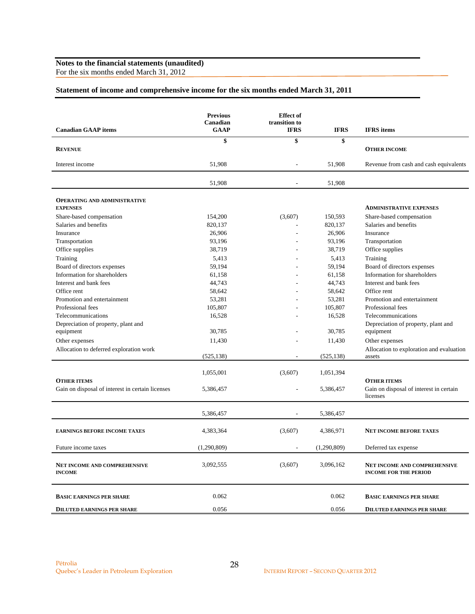For the six months ended March 31, 2012

### **Statement of income and comprehensive income for the six months ended March 31, 2011**

|                                                                        | <b>Previous</b><br>Canadian | <b>Effect</b> of<br>transition to |             |                                                                           |
|------------------------------------------------------------------------|-----------------------------|-----------------------------------|-------------|---------------------------------------------------------------------------|
| <b>Canadian GAAP</b> items                                             | GAAP                        | <b>IFRS</b>                       | <b>IFRS</b> | <b>IFRS</b> items                                                         |
|                                                                        | \$                          | \$                                | \$          |                                                                           |
| <b>REVENUE</b>                                                         |                             |                                   |             | <b>OTHER INCOME</b>                                                       |
| Interest income                                                        | 51,908                      | $\overline{a}$                    | 51,908      | Revenue from cash and cash equivalents                                    |
|                                                                        | 51,908                      |                                   | 51,908      |                                                                           |
| <b>OPERATING AND ADMINISTRATIVE</b><br><b>EXPENSES</b>                 |                             |                                   |             | <b>ADMINISTRATIVE EXPENSES</b>                                            |
| Share-based compensation                                               | 154,200                     | (3,607)                           | 150,593     | Share-based compensation                                                  |
| Salaries and benefits                                                  | 820,137                     |                                   | 820,137     | Salaries and benefits                                                     |
| Insurance                                                              | 26,906                      | ٠                                 | 26,906      | Insurance                                                                 |
| Transportation                                                         | 93,196                      |                                   | 93,196      | Transportation                                                            |
| Office supplies                                                        | 38,719                      |                                   | 38,719      | Office supplies                                                           |
| Training                                                               | 5,413                       |                                   | 5,413       | Training                                                                  |
| Board of directors expenses                                            | 59,194                      |                                   | 59,194      | Board of directors expenses                                               |
| Information for shareholders                                           | 61,158                      |                                   | 61,158      | Information for shareholders                                              |
| Interest and bank fees                                                 | 44,743                      |                                   | 44,743      | Interest and bank fees                                                    |
| Office rent                                                            | 58,642                      |                                   | 58,642      | Office rent                                                               |
| Promotion and entertainment                                            | 53,281                      |                                   | 53,281      | Promotion and entertainment                                               |
| Professional fees                                                      | 105,807                     |                                   | 105,807     | Professional fees                                                         |
| Telecommunications                                                     | 16,528                      |                                   | 16,528      | Telecommunications                                                        |
| Depreciation of property, plant and                                    |                             |                                   |             | Depreciation of property, plant and                                       |
| equipment                                                              | 30,785                      |                                   | 30,785      | equipment                                                                 |
| Other expenses                                                         | 11,430                      |                                   | 11,430      | Other expenses                                                            |
| Allocation to deferred exploration work                                |                             |                                   |             | Allocation to exploration and evaluation                                  |
|                                                                        | (525, 138)                  | ٠                                 | (525, 138)  | assets                                                                    |
|                                                                        | 1,055,001                   | (3,607)                           | 1,051,394   |                                                                           |
| <b>OTHER ITEMS</b><br>Gain on disposal of interest in certain licenses | 5,386,457                   |                                   | 5,386,457   | <b>OTHER ITEMS</b><br>Gain on disposal of interest in certain<br>licenses |
|                                                                        | 5,386,457                   | $\overline{a}$                    | 5,386,457   |                                                                           |
| <b>EARNINGS BEFORE INCOME TAXES</b>                                    | 4,383,364                   | (3,607)                           | 4,386,971   | <b>NET INCOME BEFORE TAXES</b>                                            |
| Future income taxes                                                    | (1,290,809)                 |                                   | (1,290,809) | Deferred tax expense                                                      |
| NET INCOME AND COMPREHENSIVE<br><b>INCOME</b>                          | 3,092,555                   | (3,607)                           | 3,096,162   | <b>NET INCOME AND COMPREHENSIVE</b><br><b>INCOME FOR THE PERIOD</b>       |
| <b>BASIC EARNINGS PER SHARE</b>                                        | 0.062                       |                                   | 0.062       | <b>BASIC EARNINGS PER SHARE</b>                                           |
| <b>DILUTED EARNINGS PER SHARE</b>                                      | 0.056                       |                                   | 0.056       | <b>DILUTED EARNINGS PER SHARE</b>                                         |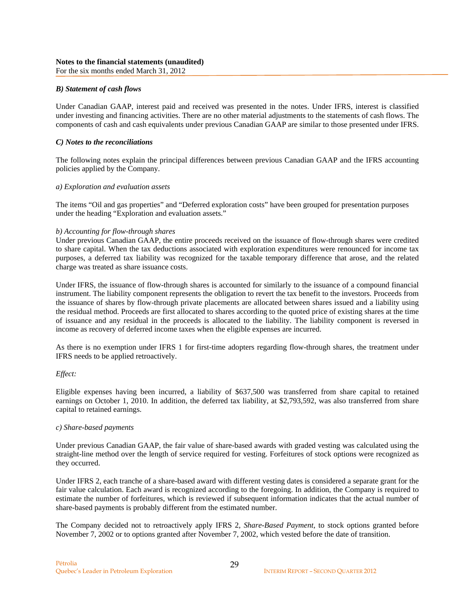#### *B) Statement of cash flows*

Under Canadian GAAP, interest paid and received was presented in the notes. Under IFRS, interest is classified under investing and financing activities. There are no other material adjustments to the statements of cash flows. The components of cash and cash equivalents under previous Canadian GAAP are similar to those presented under IFRS.

#### *C) Notes to the reconciliations*

The following notes explain the principal differences between previous Canadian GAAP and the IFRS accounting policies applied by the Company.

#### *a) Exploration and evaluation assets*

The items "Oil and gas properties" and "Deferred exploration costs" have been grouped for presentation purposes under the heading "Exploration and evaluation assets."

#### *b) Accounting for flow-through shares*

Under previous Canadian GAAP, the entire proceeds received on the issuance of flow-through shares were credited to share capital. When the tax deductions associated with exploration expenditures were renounced for income tax purposes, a deferred tax liability was recognized for the taxable temporary difference that arose, and the related charge was treated as share issuance costs.

Under IFRS, the issuance of flow-through shares is accounted for similarly to the issuance of a compound financial instrument. The liability component represents the obligation to revert the tax benefit to the investors. Proceeds from the issuance of shares by flow-through private placements are allocated between shares issued and a liability using the residual method. Proceeds are first allocated to shares according to the quoted price of existing shares at the time of issuance and any residual in the proceeds is allocated to the liability. The liability component is reversed in income as recovery of deferred income taxes when the eligible expenses are incurred.

As there is no exemption under IFRS 1 for first-time adopters regarding flow-through shares, the treatment under IFRS needs to be applied retroactively.

#### *Effect:*

Eligible expenses having been incurred, a liability of \$637,500 was transferred from share capital to retained earnings on October 1, 2010. In addition, the deferred tax liability, at \$2,793,592, was also transferred from share capital to retained earnings.

#### *c) Share-based payments*

Under previous Canadian GAAP, the fair value of share-based awards with graded vesting was calculated using the straight-line method over the length of service required for vesting. Forfeitures of stock options were recognized as they occurred.

Under IFRS 2, each tranche of a share-based award with different vesting dates is considered a separate grant for the fair value calculation. Each award is recognized according to the foregoing. In addition, the Company is required to estimate the number of forfeitures, which is reviewed if subsequent information indicates that the actual number of share-based payments is probably different from the estimated number.

The Company decided not to retroactively apply IFRS 2, *Share-Based Payment*, to stock options granted before November 7, 2002 or to options granted after November 7, 2002, which vested before the date of transition.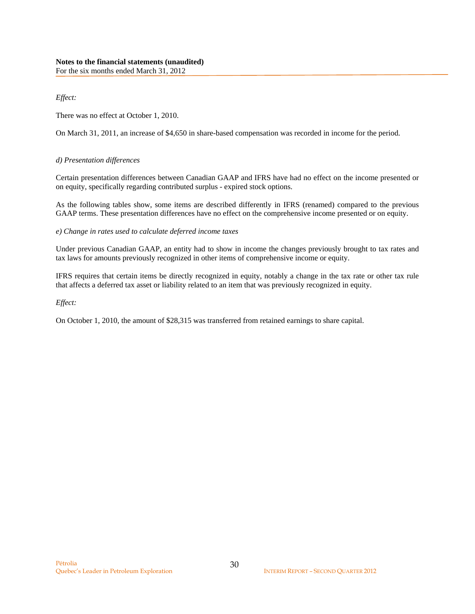*Effect:* 

There was no effect at October 1, 2010.

On March 31, 2011, an increase of \$4,650 in share-based compensation was recorded in income for the period.

### *d) Presentation differences*

Certain presentation differences between Canadian GAAP and IFRS have had no effect on the income presented or on equity, specifically regarding contributed surplus - expired stock options.

As the following tables show, some items are described differently in IFRS (renamed) compared to the previous GAAP terms. These presentation differences have no effect on the comprehensive income presented or on equity.

*e) Change in rates used to calculate deferred income taxes* 

Under previous Canadian GAAP, an entity had to show in income the changes previously brought to tax rates and tax laws for amounts previously recognized in other items of comprehensive income or equity.

IFRS requires that certain items be directly recognized in equity, notably a change in the tax rate or other tax rule that affects a deferred tax asset or liability related to an item that was previously recognized in equity.

*Effect:* 

On October 1, 2010, the amount of \$28,315 was transferred from retained earnings to share capital.